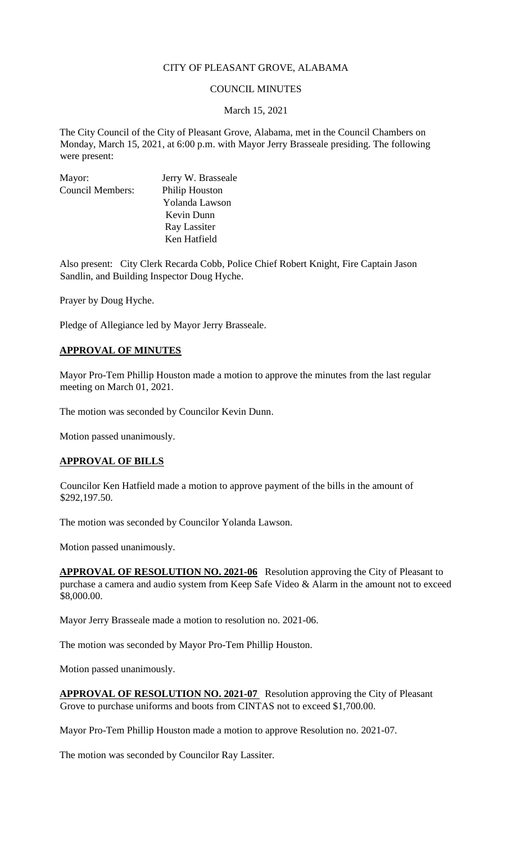# CITY OF PLEASANT GROVE, ALABAMA

#### COUNCIL MINUTES

#### March 15, 2021

The City Council of the City of Pleasant Grove, Alabama, met in the Council Chambers on Monday, March 15, 2021, at 6:00 p.m. with Mayor Jerry Brasseale presiding. The following were present:

| Mayor:                  | Jerry W. Brasseale |
|-------------------------|--------------------|
| <b>Council Members:</b> | Philip Houston     |
|                         | Yolanda Lawson     |
|                         | Kevin Dunn         |
|                         | Ray Lassiter       |
|                         | Ken Hatfield       |

Also present: City Clerk Recarda Cobb, Police Chief Robert Knight, Fire Captain Jason Sandlin, and Building Inspector Doug Hyche.

Prayer by Doug Hyche.

Pledge of Allegiance led by Mayor Jerry Brasseale.

#### **APPROVAL OF MINUTES**

Mayor Pro-Tem Phillip Houston made a motion to approve the minutes from the last regular meeting on March 01, 2021.

The motion was seconded by Councilor Kevin Dunn.

Motion passed unanimously.

#### **APPROVAL OF BILLS**

Councilor Ken Hatfield made a motion to approve payment of the bills in the amount of \$292,197.50.

The motion was seconded by Councilor Yolanda Lawson.

Motion passed unanimously.

**APPROVAL OF RESOLUTION NO. 2021-06** Resolution approving the City of Pleasant to purchase a camera and audio system from Keep Safe Video & Alarm in the amount not to exceed \$8,000.00.

Mayor Jerry Brasseale made a motion to resolution no. 2021-06.

The motion was seconded by Mayor Pro-Tem Phillip Houston.

Motion passed unanimously.

**APPROVAL OF RESOLUTION NO. 2021-07** Resolution approving the City of Pleasant Grove to purchase uniforms and boots from CINTAS not to exceed \$1,700.00.

Mayor Pro-Tem Phillip Houston made a motion to approve Resolution no. 2021-07.

The motion was seconded by Councilor Ray Lassiter.